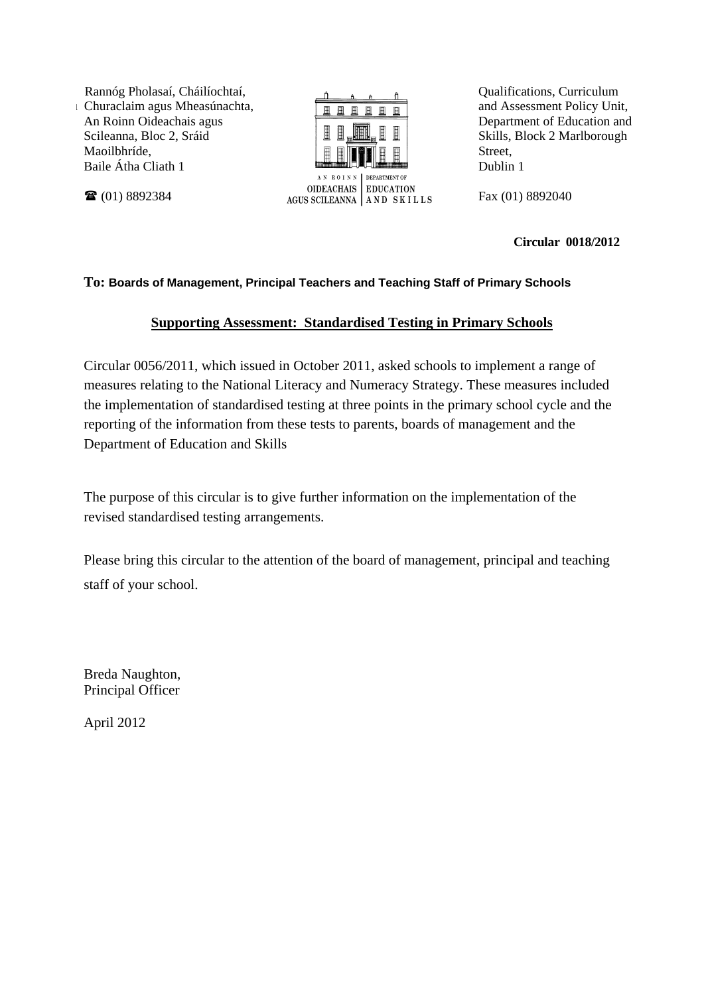Rannóg Pholasaí, Cháilíochtaí, u Churaclaim agus Mheasúnachta, An Roinn Oideachais agus Scileanna, Bloc 2, Sráid Maoilbhríde, Baile Átha Cliath 1

(01) 8892384



Qualifications, Curriculum and Assessment Policy Unit, Department of Education and Skills, Block 2 Marlborough Street, Dublin 1

Fax (01) 8892040

**Circular 0018/2012** 

### **To: Boards of Management, Principal Teachers and Teaching Staff of Primary Schools**

### **Supporting Assessment: Standardised Testing in Primary Schools**

Circular 0056/2011, which issued in October 2011, asked schools to implement a range of measures relating to the National Literacy and Numeracy Strategy. These measures included the implementation of standardised testing at three points in the primary school cycle and the reporting of the information from these tests to parents, boards of management and the Department of Education and Skills

The purpose of this circular is to give further information on the implementation of the revised standardised testing arrangements.

Please bring this circular to the attention of the board of management, principal and teaching staff of your school.

Breda Naughton, Principal Officer

April 2012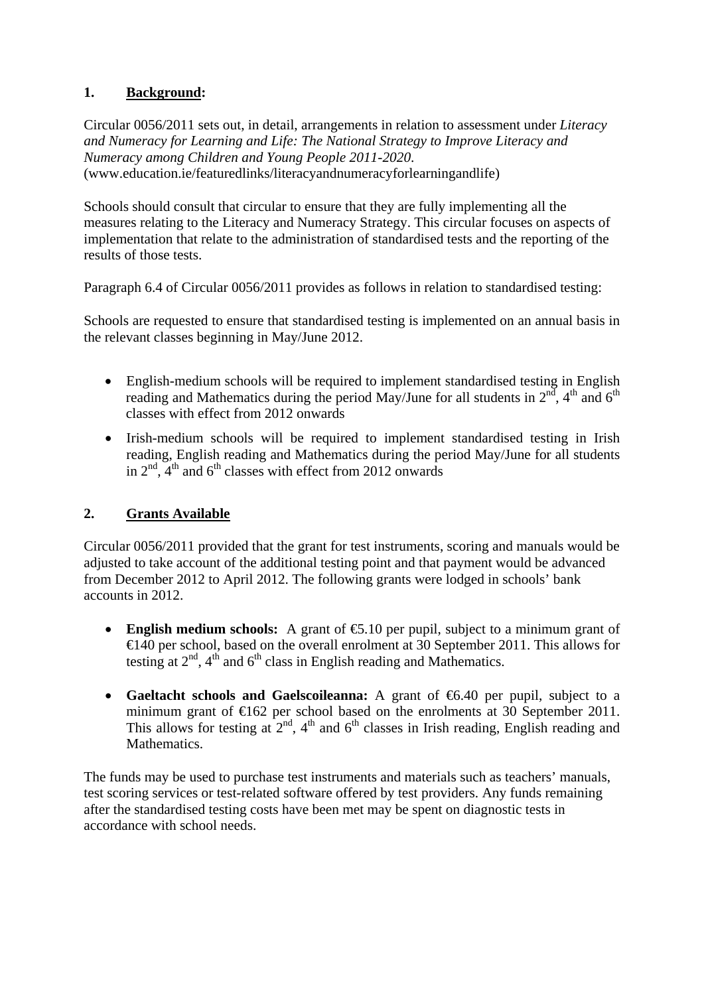### **1. Background:**

Circular 0056/2011 sets out, in detail, arrangements in relation to assessment under *Literacy and Numeracy for Learning and Life: The National Strategy to Improve Literacy and Numeracy among Children and Young People 2011-2020*. (www.education.ie/featuredlinks/literacyandnumeracyforlearningandlife)

Schools should consult that circular to ensure that they are fully implementing all the measures relating to the Literacy and Numeracy Strategy. This circular focuses on aspects of implementation that relate to the administration of standardised tests and the reporting of the results of those tests.

Paragraph 6.4 of Circular 0056/2011 provides as follows in relation to standardised testing:

Schools are requested to ensure that standardised testing is implemented on an annual basis in the relevant classes beginning in May/June 2012.

- English-medium schools will be required to implement standardised testing in English reading and Mathematics during the period May/June for all students in  $2<sup>nd</sup>$ ,  $4<sup>th</sup>$  and  $6<sup>th</sup>$ classes with effect from 2012 onwards
- Irish-medium schools will be required to implement standardised testing in Irish reading, English reading and Mathematics during the period May/June for all students in  $2<sup>nd</sup>$ ,  $4<sup>th</sup>$  and  $6<sup>th</sup>$  classes with effect from 2012 onwards

# **2. Grants Available**

Circular 0056/2011 provided that the grant for test instruments, scoring and manuals would be adjusted to take account of the additional testing point and that payment would be advanced from December 2012 to April 2012. The following grants were lodged in schools' bank accounts in 2012.

- **English medium schools:** A grant of €5.10 per pupil, subject to a minimum grant of €140 per school, based on the overall enrolment at 30 September 2011. This allows for testing at  $2<sup>nd</sup>$ ,  $4<sup>th</sup>$  and  $6<sup>th</sup>$  class in English reading and Mathematics.
- **Gaeltacht schools and Gaelscoileanna:** A grant of €6.40 per pupil, subject to a minimum grant of  $\epsilon 162$  per school based on the enrolments at 30 September 2011. This allows for testing at  $2<sup>nd</sup>$ ,  $4<sup>th</sup>$  and  $6<sup>th</sup>$  classes in Irish reading, English reading and Mathematics.

The funds may be used to purchase test instruments and materials such as teachers' manuals, test scoring services or test-related software offered by test providers. Any funds remaining after the standardised testing costs have been met may be spent on diagnostic tests in accordance with school needs.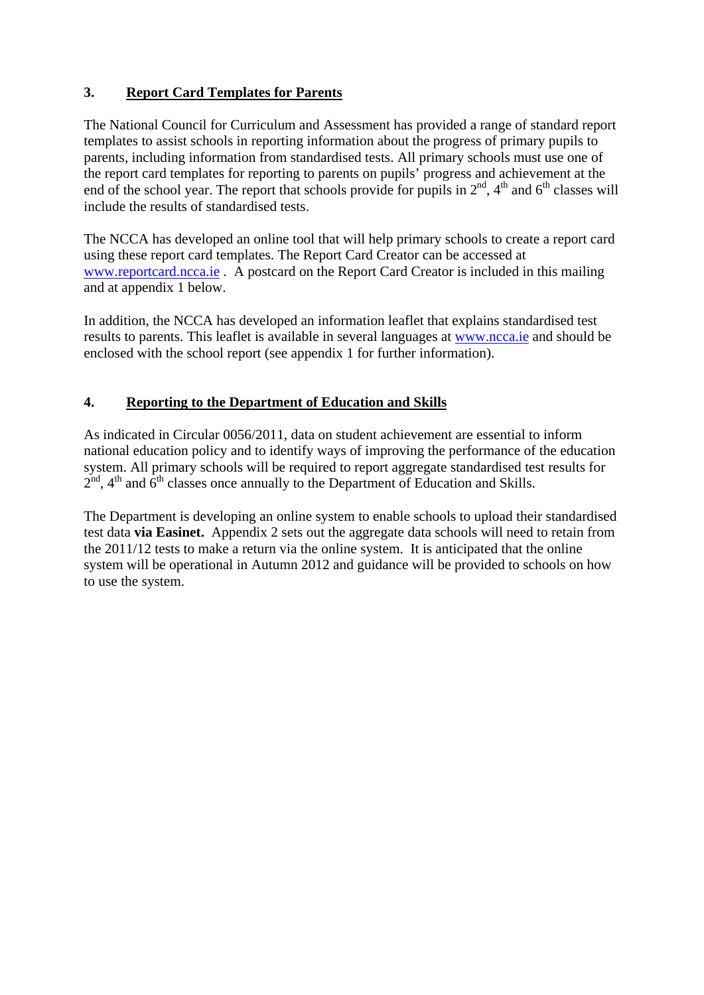# **3. Report Card Templates for Parents**

The National Council for Curriculum and Assessment has provided a range of standard report templates to assist schools in reporting information about the progress of primary pupils to parents, including information from standardised tests. All primary schools must use one of the report card templates for reporting to parents on pupils' progress and achievement at the end of the school year. The report that schools provide for pupils in  $2<sup>nd</sup>$ , 4<sup>th</sup> and 6<sup>th</sup> classes will include the results of standardised tests.

The NCCA has developed an online tool that will help primary schools to create a report card using these report card templates. The Report Card Creator can be accessed at [www.reportcard.ncca.ie](http://www.reportcard.ncca.ie/) . A postcard on the Report Card Creator is included in this mailing and at appendix 1 below.

In addition, the NCCA has developed an information leaflet that explains standardised test results to parents. This leaflet is available in several languages at [www.ncca.ie](http://www.ncca.ie/) and should be enclosed with the school report (see appendix 1 for further information).

# **4. Reporting to the Department of Education and Skills**

As indicated in Circular 0056/2011, data on student achievement are essential to inform national education policy and to identify ways of improving the performance of the education system. All primary schools will be required to report aggregate standardised test results for  $2<sup>nd</sup>$ ,  $4<sup>th</sup>$  and  $6<sup>th</sup>$  classes once annually to the Department of Education and Skills.

The Department is developing an online system to enable schools to upload their standardised test data **via Easinet.** Appendix 2 sets out the aggregate data schools will need to retain from the 2011/12 tests to make a return via the online system. It is anticipated that the online system will be operational in Autumn 2012 and guidance will be provided to schools on how to use the system.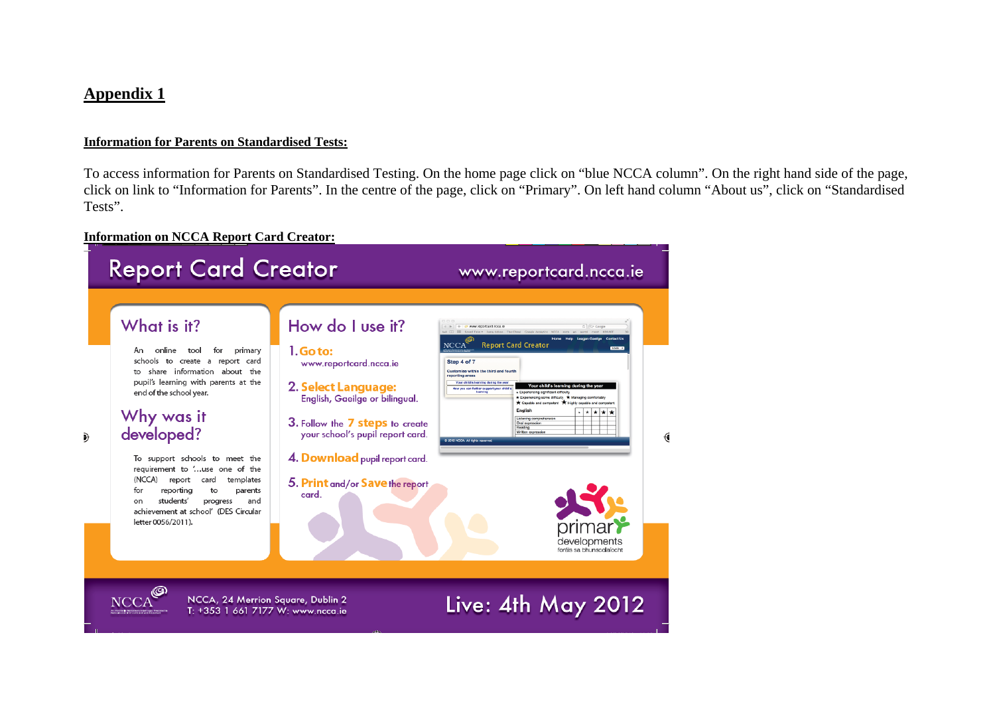### **Appendix 1**

 $\partial$ 

#### **Information for Parents on Standardised Tests:**

To access information for Parents on Standardised Testing. On the home page click on "blue NCCA column". On the right hand side of the page, click on link to "Information for Parents". In the centre of the page, click on "Primary". On left hand column "About us", click on "Standardised Tests".

#### **Information on NCCA Report Card Creator:**

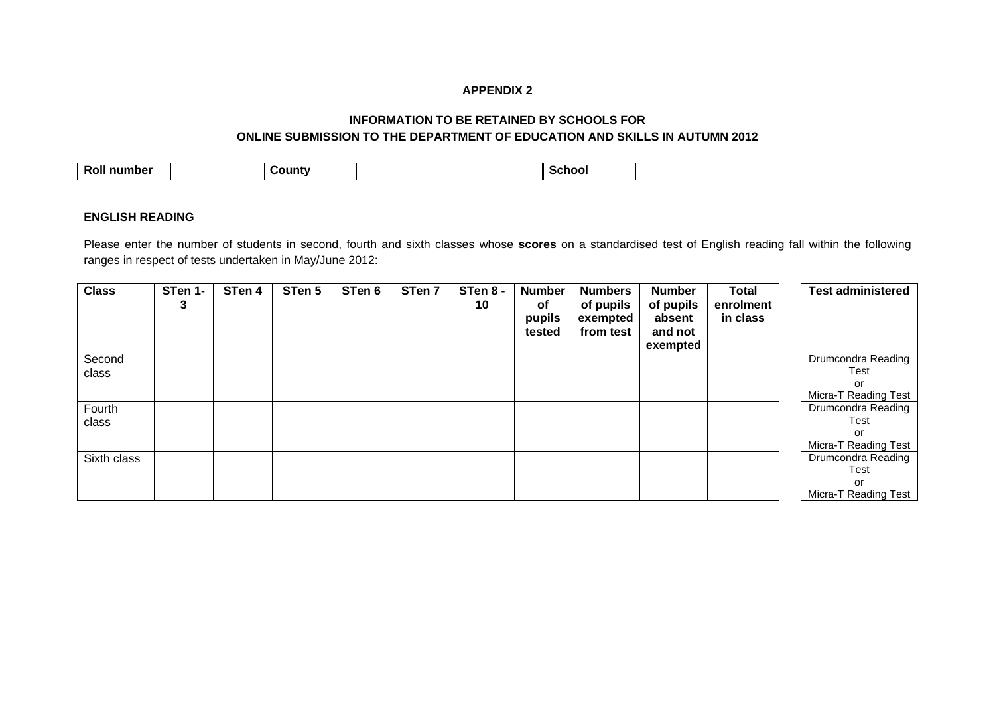#### **APPENDIX 2**

#### **INFORMATION TO BE RETAINED BY SCHOOLS FOR ONLINE SUBMISSION TO THE DEPARTMENT OF EDUCATION AND SKILLS IN AUTUMN 2012**

| -<br>number<br>ROII |  | <b>County</b> |  | School |  |
|---------------------|--|---------------|--|--------|--|
|---------------------|--|---------------|--|--------|--|

#### **ENGLISH READING**

Please enter the number of students in second, fourth and sixth classes whose **scores** on a standardised test of English reading fall within the following ranges in respect of tests undertaken in May/June 2012:

| <b>Class</b> | STen 1-<br>3 | STen 4 | STen 5 | STen 6 | STen 7 | STen 8 -<br>10 | <b>Number</b><br>оf<br>pupils<br>tested | <b>Numbers</b><br>of pupils<br>exempted<br>from test | <b>Number</b><br>of pupils<br>absent<br>and not<br>exempted | <b>Total</b><br>enrolment<br>in class | <b>Test administered</b> |
|--------------|--------------|--------|--------|--------|--------|----------------|-----------------------------------------|------------------------------------------------------|-------------------------------------------------------------|---------------------------------------|--------------------------|
| Second       |              |        |        |        |        |                |                                         |                                                      |                                                             |                                       | Drumcondra Reading       |
| class        |              |        |        |        |        |                |                                         |                                                      |                                                             |                                       | Test                     |
|              |              |        |        |        |        |                |                                         |                                                      |                                                             |                                       | or                       |
|              |              |        |        |        |        |                |                                         |                                                      |                                                             |                                       | Micra-T Reading Test     |
| Fourth       |              |        |        |        |        |                |                                         |                                                      |                                                             |                                       | Drumcondra Reading       |
| class        |              |        |        |        |        |                |                                         |                                                      |                                                             |                                       | Test                     |
|              |              |        |        |        |        |                |                                         |                                                      |                                                             |                                       | or                       |
|              |              |        |        |        |        |                |                                         |                                                      |                                                             |                                       | Micra-T Reading Test     |
| Sixth class  |              |        |        |        |        |                |                                         |                                                      |                                                             |                                       | Drumcondra Reading       |
|              |              |        |        |        |        |                |                                         |                                                      |                                                             |                                       | Test                     |
|              |              |        |        |        |        |                |                                         |                                                      |                                                             |                                       | or                       |
|              |              |        |        |        |        |                |                                         |                                                      |                                                             |                                       | Micra-T Reading Test     |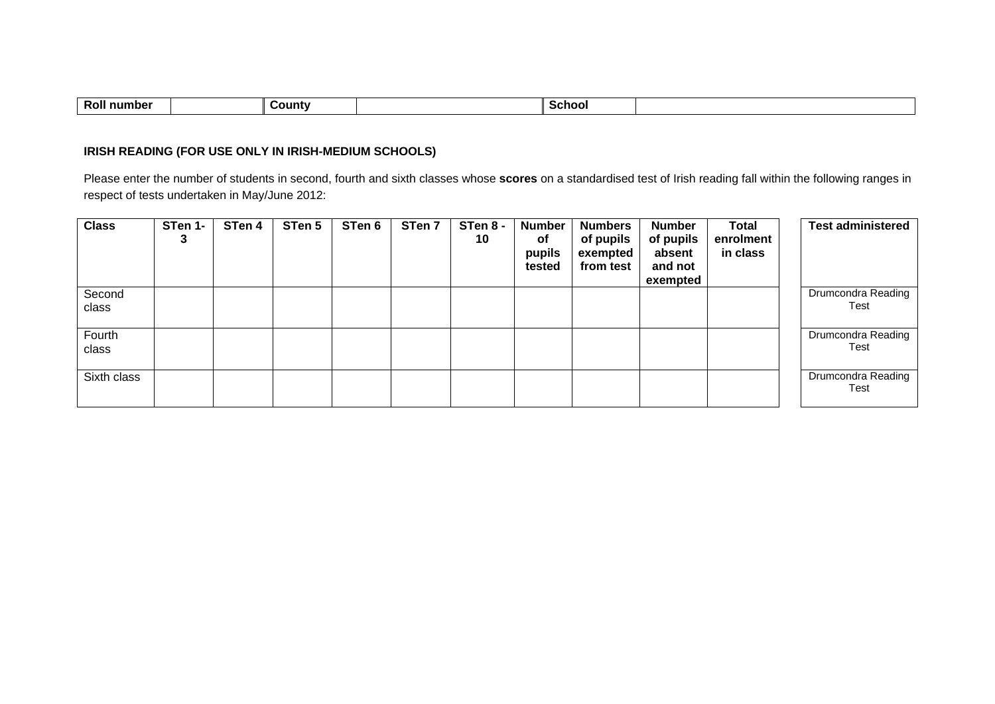|  | -<br>.<br>∩untv<br>R.<br>וור |  | :no |  |
|--|------------------------------|--|-----|--|
|--|------------------------------|--|-----|--|

### **IRISH READING (FOR USE ONLY IN IRISH-MEDIUM SCHOOLS)**

Please enter the number of students in second, fourth and sixth classes whose **scores** on a standardised test of Irish reading fall within the following ranges in respect of tests undertaken in May/June 2012:

| <b>Class</b>    | STen 1-<br>3 | STen 4 | STen 5 | STen 6 | STen 7 | STen 8 -<br>10 | <b>Number</b><br>0f<br>pupils<br>tested | <b>Numbers</b><br>of pupils<br>exempted<br>from test | <b>Number</b><br>of pupils<br>absent<br>and not<br>exempted | <b>Total</b><br>enrolment<br>in class | <b>Test administered</b>   |
|-----------------|--------------|--------|--------|--------|--------|----------------|-----------------------------------------|------------------------------------------------------|-------------------------------------------------------------|---------------------------------------|----------------------------|
| Second<br>class |              |        |        |        |        |                |                                         |                                                      |                                                             |                                       | Drumcondra Reading<br>Test |
| Fourth<br>class |              |        |        |        |        |                |                                         |                                                      |                                                             |                                       | Drumcondra Reading<br>Test |
| Sixth class     |              |        |        |        |        |                |                                         |                                                      |                                                             |                                       | Drumcondra Reading<br>Test |